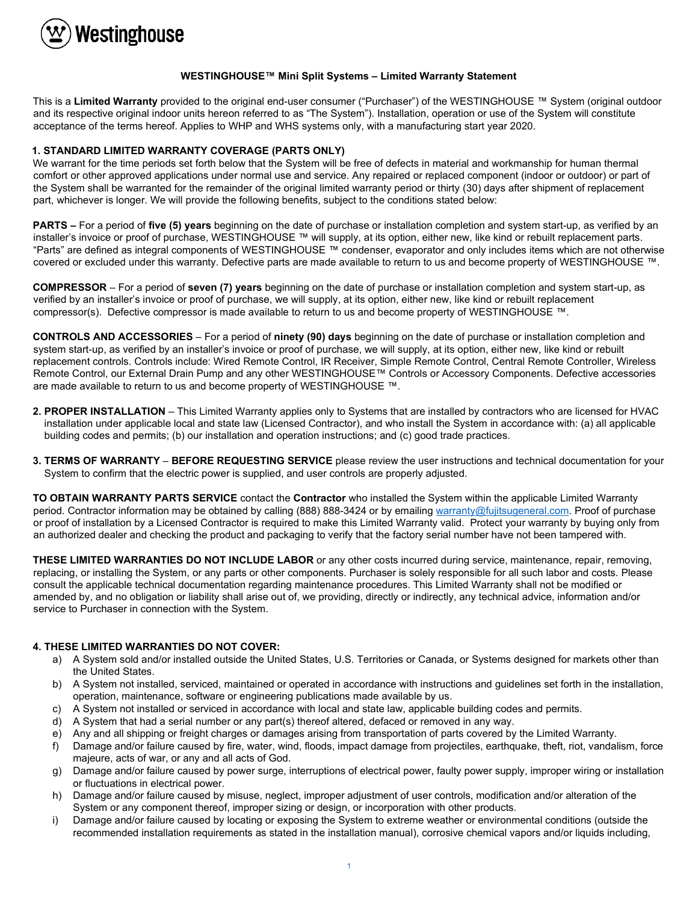

## **WESTINGHOUSE™ Mini Split Systems – Limited Warranty Statement**

This is a **Limited Warranty** provided to the original end-user consumer ("Purchaser") of the WESTINGHOUSE ™ System (original outdoor and its respective original indoor units hereon referred to as "The System"). Installation, operation or use of the System will constitute acceptance of the terms hereof. Applies to WHP and WHS systems only, with a manufacturing start year 2020.

## **1. STANDARD LIMITED WARRANTY COVERAGE (PARTS ONLY)**

We warrant for the time periods set forth below that the System will be free of defects in material and workmanship for human thermal comfort or other approved applications under normal use and service. Any repaired or replaced component (indoor or outdoor) or part of the System shall be warranted for the remainder of the original limited warranty period or thirty (30) days after shipment of replacement part, whichever is longer. We will provide the following benefits, subject to the conditions stated below:

**PARTS –** For a period of **five (5) years** beginning on the date of purchase or installation completion and system start-up, as verified by an installer's invoice or proof of purchase, WESTINGHOUSE ™ will supply, at its option, either new, like kind or rebuilt replacement parts. "Parts" are defined as integral components of WESTINGHOUSE ™ condenser, evaporator and only includes items which are not otherwise covered or excluded under this warranty. Defective parts are made available to return to us and become property of WESTINGHOUSE ™.

**COMPRESSOR** – For a period of **seven (7) years** beginning on the date of purchase or installation completion and system start-up, as verified by an installer's invoice or proof of purchase, we will supply, at its option, either new, like kind or rebuilt replacement compressor(s). Defective compressor is made available to return to us and become property of WESTINGHOUSE ™.

**CONTROLS AND ACCESSORIES** – For a period of **ninety (90) days** beginning on the date of purchase or installation completion and system start-up, as verified by an installer's invoice or proof of purchase, we will supply, at its option, either new, like kind or rebuilt replacement controls. Controls include: Wired Remote Control, IR Receiver, Simple Remote Control, Central Remote Controller, Wireless Remote Control, our External Drain Pump and any other WESTINGHOUSE™ Controls or Accessory Components. Defective accessories are made available to return to us and become property of WESTINGHOUSE ™.

- **2. PROPER INSTALLATION** This Limited Warranty applies only to Systems that are installed by contractors who are licensed for HVAC installation under applicable local and state law (Licensed Contractor), and who install the System in accordance with: (a) all applicable building codes and permits; (b) our installation and operation instructions; and (c) good trade practices.
- **3. TERMS OF WARRANTY BEFORE REQUESTING SERVICE** please review the user instructions and technical documentation for your System to confirm that the electric power is supplied, and user controls are properly adjusted.

**TO OBTAIN WARRANTY PARTS SERVICE** contact the **Contractor** who installed the System within the applicable Limited Warranty period. Contractor information may be obtained by calling (888) 888-3424 or by emailin[g warranty@fujitsugeneral.com.](mailto:warranty@fujitsugeneral.com) Proof of purchase or proof of installation by a Licensed Contractor is required to make this Limited Warranty valid. Protect your warranty by buying only from an authorized dealer and checking the product and packaging to verify that the factory serial number have not been tampered with.

**THESE LIMITED WARRANTIES DO NOT INCLUDE LABOR** or any other costs incurred during service, maintenance, repair, removing, replacing, or installing the System, or any parts or other components. Purchaser is solely responsible for all such labor and costs. Please consult the applicable technical documentation regarding maintenance procedures. This Limited Warranty shall not be modified or amended by, and no obligation or liability shall arise out of, we providing, directly or indirectly, any technical advice, information and/or service to Purchaser in connection with the System.

## **4. THESE LIMITED WARRANTIES DO NOT COVER:**

- a) A System sold and/or installed outside the United States, U.S. Territories or Canada, or Systems designed for markets other than the United States.
- b) A System not installed, serviced, maintained or operated in accordance with instructions and guidelines set forth in the installation, operation, maintenance, software or engineering publications made available by us.
- c) A System not installed or serviced in accordance with local and state law, applicable building codes and permits.
- d) A System that had a serial number or any part(s) thereof altered, defaced or removed in any way.
- e) Any and all shipping or freight charges or damages arising from transportation of parts covered by the Limited Warranty.
- f) Damage and/or failure caused by fire, water, wind, floods, impact damage from projectiles, earthquake, theft, riot, vandalism, force majeure, acts of war, or any and all acts of God.
- g) Damage and/or failure caused by power surge, interruptions of electrical power, faulty power supply, improper wiring or installation or fluctuations in electrical power.
- h) Damage and/or failure caused by misuse, neglect, improper adjustment of user controls, modification and/or alteration of the System or any component thereof, improper sizing or design, or incorporation with other products.
- i) Damage and/or failure caused by locating or exposing the System to extreme weather or environmental conditions (outside the recommended installation requirements as stated in the installation manual), corrosive chemical vapors and/or liquids including,